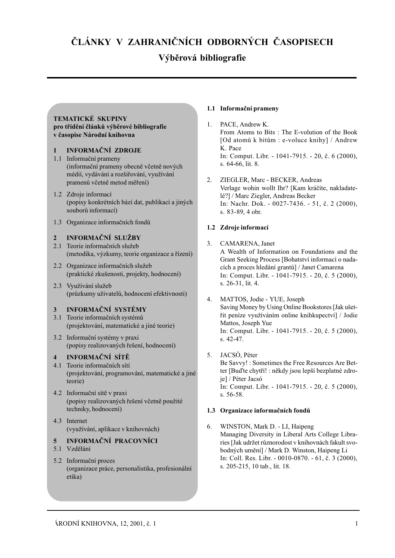# ÈLÁNKY V ZAHRANIÈNÍCH ODBORNÝCH ÈASOPISECH

## Výběrová bibliografie

#### TEMATICKÉ SKUPINY pro třídění článků výběrové bibliografie v časopise Národní knihovna

## 1 INFORMAÈNÍ ZDROJE

- 1.1 Informaèní prameny (informační prameny obecně včetně nových médií, vydávání a rozšiřování, využívání pramenů včetně metod měření)
- 1.2 Zdroje informací (popisy konkrétních bází dat, publikací a jiných souborù informací)
- 1.3 Organizace informaèních fondù

## 2 INFORMAČNÍ SLUŽBY

- 2.1 Teorie informačních služeb (metodika, výzkumy, teorie organizace a řízení)
- 2.2 Organizace informačních služeb (praktické zkušenosti, projekty, hodnocení)
- 2.3 Využívání služeb (průzkumy uživatelů, hodnocení efektivnosti)

## 3 INFORMAÈNÍ SYSTÉMY

- 3.1 Teorie informaèních systémù (projektování, matematické a jiné teorie)
- 3.2 Informaèní systémy v praxi (popisy realizovaných řešení, hodnocení)

## 4 INFORMAČNÍ SÍTĚ

- 4.1 Teorie informaèních sítí (projektování, programování, matematické a jiné teorie)
- 4.2 Informační sítě v praxi (popisy realizovaných řešení včetně použité techniky, hodnocení)
- 4.3 Internet (využívání, aplikace v knihovnách)

## 5 INFORMAÈNÍ PRACOVNÍCI

- 5.1 Vzdělání
- 5.2 Informaèní proces (organizace práce, personalistika, profesionální etika)

## 1.1 Informaèní prameny

- 1. PACE, Andrew K. From Atoms to Bits : The E-volution of the Book [Od atomù k bitùm : e-voluce knihy] / Andrew K. Pace In: Comput. Libr. - 1041-7915. - 20, è. 6 (2000), s. 64-66, lit. 8.
- 2. ZIEGLER, Marc BECKER, Andreas Verlage wohin wollt Ihr? [Kam kráèíte, nakladatelé?] / Marc Ziegler, Andreas Becker In: Nachr. Dok. - 0027-7436. - 51, è. 2 (2000), s. 83-89, 4 obr.

## 1.2 Zdroje informací

## 3. CAMARENA, Janet

A Wealth of Information on Foundations and the Grant Seeking Process [Bohatství informací o nadacích a proces hledání grantù] / Janet Camarena In: Comput. Libr. - 1041-7915. - 20, è. 5 (2000), s. 26-31, lit. 4.

- 4. MATTOS, Jodie YUE, Joseph Saving Money by Using Online Bookstores [Jak ušetřit peníze využíváním online knihkupectví] / Jodie Mattos, Joseph Yue In: Comput. Libr. - 1041-7915. - 20, è. 5 (2000), s. 42-47.
- 5. JACSÓ, Péter

Be Savvy! : Sometimes the Free Resources Are Better [Buďte chytří! : někdy jsou lepší bezplatné zdroje] / Péter Jacsó In: Comput. Libr. - 1041-7915. - 20, è. 5 (2000), s. 56-58.

## 1.3 Organizace informaèních fondù

6. WINSTON, Mark D. - LI, Haipeng Managing Diversity in Liberal Arts College Libraries [Jak udržet různorodost v knihovnách fakult svobodných umění] / Mark D. Winston, Haipeng Li In: Coll. Res. Libr. - 0010-0870. - 61, è. 3 (2000), s. 205-215, 10 tab., lit. 18.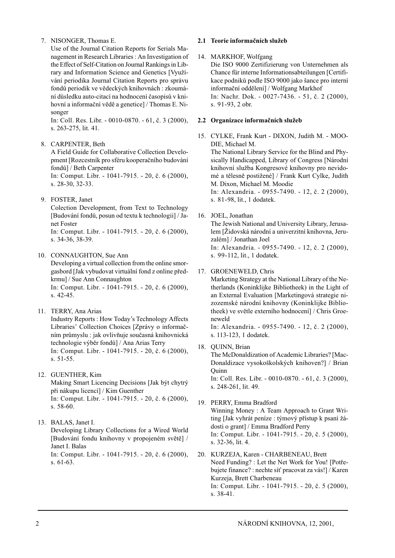## 7. NISONGER, Thomas E.

Use of the Journal Citation Reports for Serials Management in Research Libraries : An Investigation of the Effect of Self-Citation on Journal Rankings in Library and Information Science and Genetics [Využívání periodika Journal Citation Reports pro správu fondů periodik ve vědeckých knihovnách : zkoumání dùsledku auto-citací na hodnocení èasopisù v knihovní a informační vědě a genetice] / Thomas E. Nisonger

In: Coll. Res. Libr. - 0010-0870. - 61, è. 3 (2000), s. 263-275, lit. 41.

8. CARPENTER, Beth

A Field Guide for Collaborative Collection Development [Rozcestník pro sféru kooperaèního budování fondù] / Beth Carpenter In: Comput. Libr. - 1041-7915. - 20, è. 6 (2000),

s. 28-30, 32-33.

9. FOSTER, Janet

Colection Development, from Text to Technology [Budování fondù, posun od textu k technologii] / Janet Foster

In: Comput. Libr. - 1041-7915. - 20, è. 6 (2000), s. 34-36, 38-39.

10. CONNAUGHTON, Sue Ann Developing a virtual collection from the online smorgasbord [Jak vybudovat virtuální fond z online předkrmu] / Sue Ann Connaughton In: Comput. Libr. - 1041-7915. - 20, è. 6 (2000), s. 42-45.

11. TERRY, Ana Arias Industry Reports : How Today's Technology Affects Libraries' Collection Choices [Zprávy o informačním průmyslu : jak ovlivňuje současná knihovnická technologie výběr fondů] / Ana Arias Terry In: Comput. Libr. - 1041-7915. - 20, è. 6 (2000), s. 51-55.

- 12. GUENTHER, Kim Making Smart Licencing Decisions [Jak být chytrý při nákupu licencí] / Kim Guenther In: Comput. Libr. - 1041-7915. - 20, è. 6 (2000), s. 58-60.
- 13. BALAS, Janet I. Developing Library Collections for a Wired World [Budování fondu knihovny v propojeném světě] / Janet I. Balas In: Comput. Libr. - 1041-7915. - 20, è. 6 (2000), s. 61-63.

#### 2.1 Teorie informačních služeb

14. MARKHOF, Wolfgang Die ISO 9000 Zertifizierung von Unternehmen als Chance für interne Informationsabteilungen [Certifikace podniků podle ISO 9000 jako šance pro interní informační oddělení] / Wolfgang Markhof In: Nachr. Dok. - 0027-7436. - 51, è. 2 (2000), s. 91-93, 2 obr.

## 2.2 Organizace informačních služeb

- 15. CYLKE, Frank Kurt DIXON, Judith M. MOO-DIE, Michael M. The National Library Service for the Blind and Physically Handicapped, Library of Congress [Národní knihovní služba Kongresové knihovny pro nevidomé a tělesně postižené] / Frank Kurt Cylke, Judith M. Dixon, Michael M. Moodie In: Alexandria. - 0955-7490. - 12, è. 2 (2000), s. 81-98, lit., 1 dodatek.
- 16. JOEL, Jonathan

The Jewish National and University Library, Jerusalem [Židovská národní a univerzitní knihovna, Jeruzalém] / Jonathan Joel In: Alexandria. - 0955-7490. - 12, è. 2 (2000), s. 99-112, lit., 1 dodatek.

17. GROENEWELD, Chris

Marketing Strategy at the National Library of the Netherlands (Koninklijke Bibliotheek) in the Light of an External Evaluation [Marketingová strategie nizozemské národní knihovny (Koninklijke Bibliotheek) ve světle externího hodnocení] / Chris Groeneweld

In: Alexandria. - 0955-7490. - 12, è. 2 (2000), s. 113-123, 1 dodatek.

18. QUINN, Brian

The McDonaldization of Academic Libraries? [Mac-Donaldizace vysokoškolských knihoven?] / Brian **Quinn** 

In: Coll. Res. Libr. - 0010-0870. - 61, è. 3 (2000), s. 248-261, lit. 49.

- 19. PERRY, Emma Bradford Winning Money : A Team Approach to Grant Writing [Jak vyhrát peníze : týmový přístup k psaní žádosti o grant] / Emma Bradford Perry In: Comput. Libr. - 1041-7915. - 20, è. 5 (2000), s. 32-36, lit. 4.
- 20. KURZEJA, Karen CHARBENEAU, Brett Need Funding? : Let the Net Work for You! [Potřebujete finance? : nechte síť pracovat za vás!] / Karen Kurzeja, Brett Charbeneau In: Comput. Libr. - 1041-7915. - 20, è. 5 (2000), s. 38-41.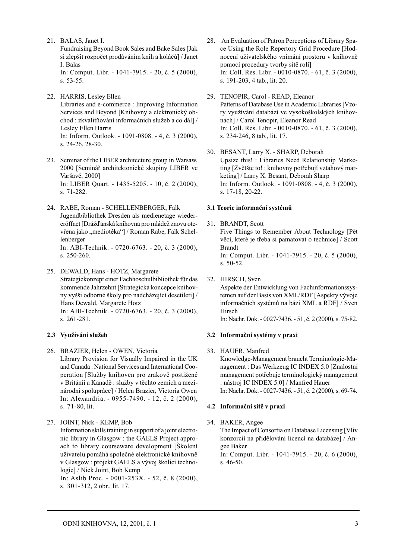21. BALAS, Janet I.

Fundraising Beyond Book Sales and Bake Sales [Jak si zlepšit rozpočet prodáváním knih a koláčů] / Janet I. Balas In: Comput. Libr. - 1041-7915. - 20, è. 5 (2000),

s. 53-55. 22. HARRIS, Lesley Ellen

Libraries and e-commerce : Improving Information Services and Beyond [Knihovny a elektronický obchod : zkvalitňování informačních služeb a co dáll / Lesley Ellen Harris In: Inform. Outlook. - 1091-0808. - 4, è. 3 (2000), s. 24-26, 28-30.

- 23. Seminar of the LIBER architecture group in Warsaw, 2000 [Semináø architektonické skupiny LIBER ve Varšavě, 2000] In: LIBER Quart. - 1435-5205. - 10, è. 2 (2000), s. 71-282.
- 24. RABE, Roman SCHELLENBERGER, Falk Jugendbibliothek Dresden als medienetage wiedereröffnet [Drážďanská knihovna pro mládež znovu otevřena jako "mediotéka"] / Roman Rabe, Falk Schellenberger In: ABI-Technik. - 0720-6763. - 20, è. 3 (2000), s. 250-260.
- 25. DEWALD, Hans HOTZ, Margarete Strategiekonzept einer Fachhoschulbibliothek für das kommende Jahrzehnt [Strategická koncepce knihovny vyšší odborné školy pro nadcházející desetiletí] / Hans Dewald, Margarete Hotz In: ABI-Technik. - 0720-6763. - 20, è. 3 (2000), s. 261-281.

## 2.3 Využívání služeb

- 26. BRAZIER, Helen OWEN, Victoria Library Provision for Visually Impaired in the UK and Canada : National Services and International Cooperation [Služby knihoven pro zrakově postižené v Británii a Kanadě : služby v těchto zemích a mezinárodní spolupráce] / Helen Brazier, Victoria Owen In: Alexandria. - 0955-7490. - 12, è. 2 (2000), s. 71-80, lit.
- 27. JOINT, Nick KEMP, Bob Information skills training in support of a joint electronic library in Glasgow : the GAELS Project approach to library courseware development [Školení uživatelů pomáhá společné elektronické knihovně v Glasgow : projekt GAELS a vývoj školicí technologie] / Nick Joint, Bob Kemp In: Aslib Proc. - 0001-253X. - 52, è. 8 (2000),
	- s. 301-312, 2 obr., lit. 17.

28. An Evaluation of Patron Perceptions of Library Space Using the Role Repertory Grid Procedure [Hodnocení uživatelského vnímání prostoru v knihovně pomocí procedury tvorby sítě rolíl In: Coll. Res. Libr. - 0010-0870. - 61, è. 3 (2000), s. 191-203, 4 tab., lit. 20.

#### 29. TENOPIR, Carol - READ, Eleanor

Patterns of Database Use in Academic Libraries [Vzory využívání databází ve vysokoškolských knihovnách] / Carol Tenopir, Eleanor Read In: Coll. Res. Libr. - 0010-0870. - 61, è. 3 (2000), s. 234-246, 8 tab., lit. 17.

30. BESANT, Larry X. - SHARP, Deborah Upsize this! : Libraries Need Relationship Marketing [Zvětšte to! : knihovny potřebují vztahový marketing] / Larry X. Besant, Deborah Sharp In: Inform. Outlook. - 1091-0808. - 4, è. 3 (2000), s. 17-18, 20-22.

## 3.1 Teorie informaèní systémù

- 31. BRANDT, Scott Five Things to Remember About Technology [Pět] věcí, které je třeba si pamatovat o technice] / Scott Brandt In: Comput. Libr. - 1041-7915. - 20, è. 5 (2000), s. 50-52.
- 32. HIRSCH, Sven

Aspekte der Entwicklung von Fachinformationssystemen auf der Basis von XML/RDF [Aspekty vývoje informaèních systémù na bázi XML a RDF] / Sven Hirsch

In: Nachr. Dok. - 0027-7436. - 51, è. 2 (2000), s. 75-82.

## 3.2 Informaèní systémy v praxi

33. HAUER, Manfred

Knowledge-Management braucht Terminologie-Management : Das Werkzeug IC INDEX 5.0 [Znalostní management potřebuje terminologický management : nástroj IC INDEX 5.0] / Manfred Hauer In: Nachr. Dok. - 0027-7436. - 51, è. 2 (2000), s. 69-74.

## 4.2 Informační sítě v praxi

34. BAKER, Angee

The Impact of Consortia on Database Licensing [Vliv konzorcií na přidělování licencí na databáze] / Angee Baker

In: Comput. Libr. - 1041-7915. - 20, è. 6 (2000), s. 46-50.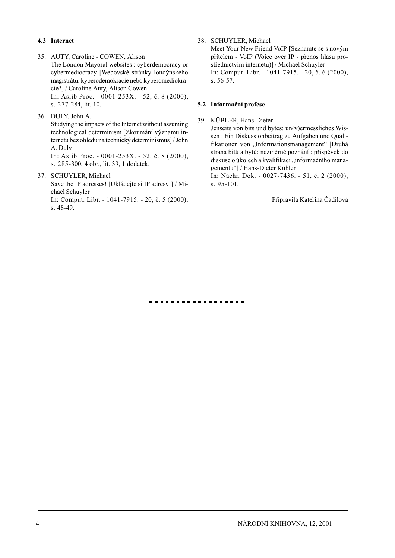## 4.3 Internet

- 35. AUTY, Caroline COWEN, Alison The London Mayoral websites : cyberdemocracy or cybermediocracy [Webovské stránky londýnského magistrátu: kyberodemokracie nebo kyberomediokracie?] / Caroline Auty, Alison Cowen In: Aslib Proc. - 0001-253X. - 52, è. 8 (2000), s. 277-284, lit. 10.
- 36. DULY, John A. Studying the impacts of the Internet without assuming technological determinism [Zkoumání významu internetu bez ohledu na technický determinismus] / John A. Duly

In: Aslib Proc. - 0001-253X. - 52, è. 8 (2000), s. 285-300, 4 obr., lit. 39, 1 dodatek.

37. SCHUYLER, Michael

Save the IP adresses! [Ukládejte si IP adresy!] / Michael Schuyler

In: Comput. Libr. - 1041-7915. - 20, è. 5 (2000), s. 48-49.

38. SCHUYLER, Michael

Meet Your New Friend VoIP [Seznamte se s novým přítelem - VoIP (Voice over IP - přenos hlasu prostřednictvím internetu)] / Michael Schuyler In: Comput. Libr. - 1041-7915. - 20, è. 6 (2000), s. 56-57.

#### 5.2 Informaèní profese

39. KÜBLER, Hans-Dieter

Jenseits von bits und bytes: un(v)ermessliches Wissen : Ein Diskussionbeitrag zu Aufgaben und Qualifikationen von "Informationsmanagement" [Druhá strana bitů a bytů: nezměrné poznání : příspěvek do diskuse o úkolech a kvalifikaci "informačního managementu] / Hans-Dieter Kübler

In: Nachr. Dok. - 0027-7436. - 51, è. 2 (2000), s. 95-101.

Připravila Kateřina Čadilová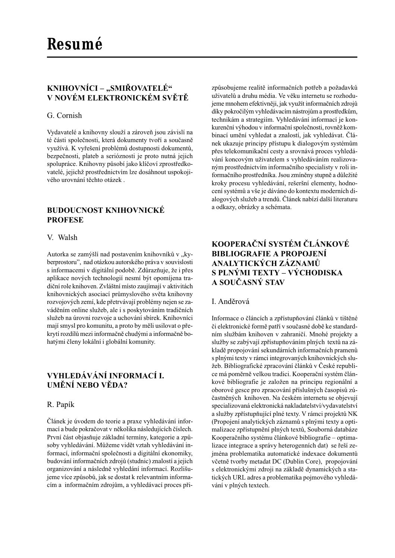## KNIHOVNÍCI - "SMIŘOVATELÉ" V NOVÉM ELEKTRONICKÉM SVĚTĚ

## G. Cornish

Vydavatelé a knihovny slouží a zároveň jsou závislí na té části společnosti, která dokumenty tvoří a současně využívá. K vyřešení problémů dostupnosti dokumentů, bezpeènosti, plateb a serióznosti je proto nutná jejich spolupráce. Knihovny působí jako klíčoví zprostředkovatelé, jejichž prostřednictvím lze dosáhnout uspokojivého urovnání těchto otázek.

## BUDOUCNOST KNIHOVNICKÉ PROFESE

#### V. Walsh

Autorka se zamýšlí nad postavením knihovníků v "kyberprostoru", nad otázkou autorského práva v souvislosti s informacemi v digitální podobě. Zdůrazňuje, že i přes aplikace nových technologií nesmí být opomíjena tradièní role knihoven. Zvlátní místo zaujímají v aktivitách knihovnických asociací průmyslového světa knihovny rozvojových zemí, kde přetrvávají problémy nejen se zaváděním online služeb, ale i s poskytováním tradičních služeb na úrovni rozvoje a uchování sbírek. Knihovníci mají smysl pro komunitu, a proto by měli usilovat o překrytí rozdílů mezi informačně chudými a informačně bohatými èleny lokální i globální komunity.

## VYHLEDÁVÁNÍ INFORMACÍ I. UMÌNÍ NEBO VÌDA?

## R. Papík

Èlánek je úvodem do teorie a praxe vyhledávání informací a bude pokračovat v několika následujících číslech. První část objasňuje základní termíny, kategorie a způsoby vyhledávání. Můžeme vidět vztah vyhledávání informací, informaèní spoleènosti a digitální ekonomiky, budování informaèních zdrojù (studnic) znalostí a jejich organizování a následně vyhledání informací. Rozlišujeme více zpùsobù, jak se dostat k relevantním informacím a informačním zdrojům, a vyhledávací proces při-

způsobujeme realitě informačních potřeb a požadavků uživatelů a druhu média. Ve věku internetu se rozhodujeme mnohem efektivněji, jak využít informačních zdrojů díky pokročilým vyhledávacím nástrojům a prostředkům, technikám a strategiím. Vyhledávání informací je konkurenční výhodou v informační společnosti, rovněž kombinací umění vyhledat a znalostí, jak vyhledávat. Článek ukazuje principy přístupu k dialogovým systémům přes telekomunikační cesty a srovnává proces vyhledávání koncovým uživatelem s vyhledáváním realizovaným prostřednictvím informačního specialisty v roli informačního prostředníka. Jsou zmíněny stupně a důležité kroky procesu vyhledávání, rešeršní elementy, hodnocení systémů a vše je dáváno do kontextu moderních dialogových služeb a trendů. Článek nabízí další literaturu a odkazy, obrázky a schémata.

## KOOPERAÈNÍ SYSTÉM ÈLÁNKOVÉ BIBLIOGRAFIE A PROPOJENÍ ANALYTICKÝCH ZÁZNAMÙ S PLNÝMI TEXTY – VÝCHODISKA A SOUÈASNÝ STAV

## I. Anděrová

Informace o článcích a zpřístupňování článků v tištěné či elektronické formě patří v současné době ke standardním službám knihoven v zahraničí. Mnohé projekty a služby se zabývají zpřístupňováním plných textů na základě propojování sekundárních informačních pramenů s plnými texty v rámci integrovaných knihovnických slu eb. Bibliografické zpracování èlánkù v Èeské republice má poměrně velkou tradici. Kooperační systém článkové bibliografie je založen na principu regionální a oborové gesce pro zpracování příslušných časopisů zúčastněných knihoven. Na českém internetu se objevují specializovaná elektronická nakladatelství/vydavatelství a služby zpřístupňující plné texty. V rámci projektů NK (Propojení analytických záznamù s plnými texty a optimalizace zpřístupnění plných textů, Souborná databáze Kooperačního systému článkové bibliografie - optimalizace integrace a správy heterogenních dat) se řeší zejména problematika automatické indexace dokumentù včetně tvorby metadat DC (Dublin Core), propojování s elektronickými zdroji na základě dynamických a statických URL adres a problematika pojmového vyhledávání v plných textech.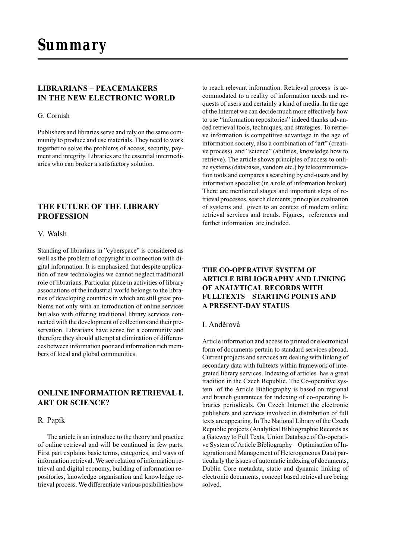## LIBRARIANS - PEACEMAKERS IN THE NEW ELECTRONIC WORLD

#### G. Cornish

Publishers and libraries serve and rely on the same community to produce and use materials. They need to work together to solve the problems of access, security, payment and integrity. Libraries are the essential intermediaries who can broker a satisfactory solution.

## THE FUTURE OF THE LIBRARY **PROFESSION**

#### V. Walsh

Standing of librarians in "cyberspace" is considered as well as the problem of copyright in connection with digital information. It is emphasized that despite application of new technologies we cannot neglect traditional role of librarians. Particular place in activities of library associations of the industrial world belongs to the libraries of developing countries in which are still great problems not only with an introduction of online services but also with offering traditional library services connected with the development of collections and their preservation. Librarians have sense for a community and therefore they should attempt at elimination of differences between information poor and information rich members of local and global communities.

## ONLINE INFORMATION RETRIEVAL I. ART OR SCIENCE?

#### R. Papík

The article is an introduce to the theory and practice of online retrieval and will be continued in few parts. First part explains basic terms, categories, and ways of information retrieval. We see relation of information retrieval and digital economy, building of information repositories, knowledge organisation and knowledge retrieval process. We differentiate various posibilities how

to reach relevant information. Retrieval process is accommodated to a reality of information needs and requests of users and certainly a kind of media. In the age of the Internet we can decide much more effectively how to use "information repositories" indeed thanks advanced retrieval tools, techniques, and strategies. To retrieve information is competitive advantage in the age of information society, also a combination of "art" (creative process) and "science" (abilities, knowledge how to retrieve). The article shows principles of access to online systems (databases, vendors etc.) by telecommunication tools and compares a searching by end-users and by information specialist (in a role of information broker). There are mentioned stages and important steps of retrieval processes, search elements, principles evaluation of systems and given to an context of modern online retrieval services and trends. Figures, references and further information are included.

## THE CO-OPERATIVE SYSTEM OF ARTICLE BIBLIOGRAPHY AND LINKING OF ANALYTICAL RECORDS WITH FULLTEXTS - STARTING POINTS AND A PRESENT-DAY STATUS

## I. Anděrová

Article information and access to printed or electronical form of documents pertain to standard services abroad. Current projects and services are dealing with linking of secondary data with fulltexts within framework of integrated library services. Indexing of articles has a great tradition in the Czech Republic. The Co-operative system of the Article Bibliography is based on regional and branch guarantees for indexing of co-operating libraries periodicals. On Czech Internet the electronic publishers and services involved in distribution of full texts are appearing. In The National Library of the Czech Republic projects (Analytical Bibliographic Records as a Gateway to Full Texts, Union Database of Co-operative System of Article Bibliography - Optimisation of Integration and Management of Heterogeneous Data) particularly the issues of automatic indexing of documents, Dublin Core metadata, static and dynamic linking of electronic documents, concept based retrieval are being solved.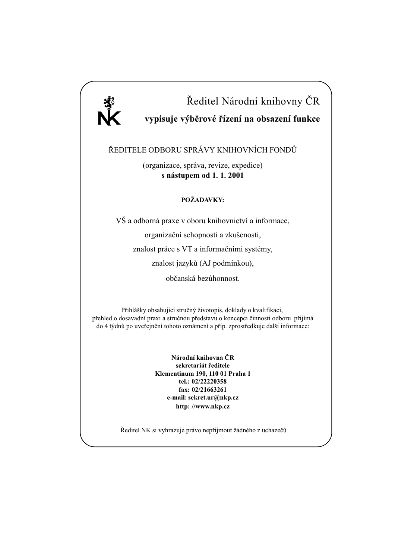

# Ředitel Národní knihovny ČR vypisuje výběrové řízení na obsazení funkce

## ŘEDITELE ODBORU SPRÁVY KNIHOVNÍCH FONDŮ

(organizace, správa, revize, expedice) s nástupem od 1. 1. 2001

## POŽADAVKY:

VŠ a odborná praxe v oboru knihovnictví a informace,

organizační schopnosti a zkušenosti,

znalost práce s VT a informaèními systémy,

znalost jazykù (AJ podmínkou),

obèanská bezúhonnost.

Přihlášky obsahující stručný životopis, doklady o kvalifikaci, přehled o dosavadní praxi a stručnou představu o koncepci činnosti odboru přijímá do 4 týdnů po uveřejnění tohoto oznámení a příp. zprostředkuje další informace:

> Národní knihovna ÈR sekretariát ředitele Klementinum 190, 110 01 Praha 1 tel.: 02/22220358 fax: 02/21663261 e-mail: sekret.ur@nkp.cz http: //www.nkp.cz

Ředitel NK si vyhrazuje právo nepřijmout žádného z uchazečů